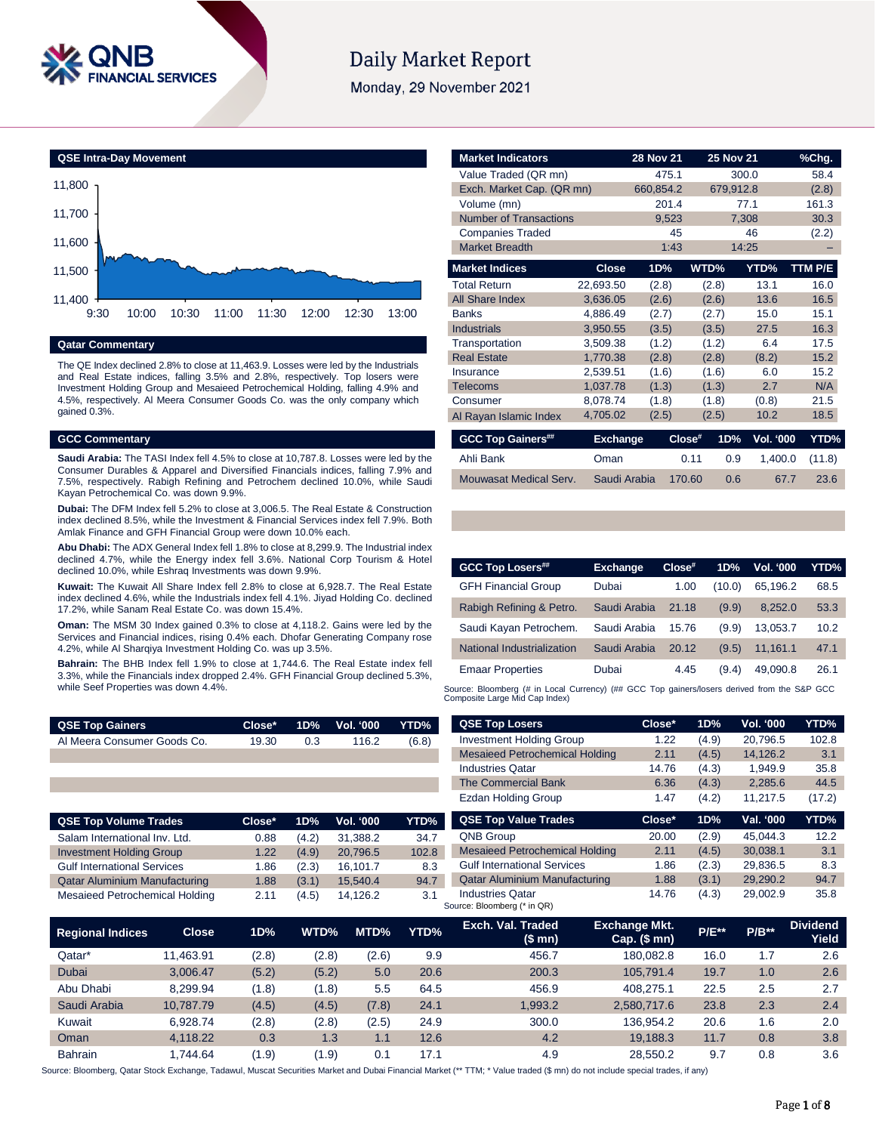

# **Daily Market Report**

Monday, 29 November 2021



# **Qatar Commentary**

The QE Index declined 2.8% to close at 11,463.9. Losses were led by the Industrials and Real Estate indices, falling 3.5% and 2.8%, respectively. Top losers were Investment Holding Group and Mesaieed Petrochemical Holding, falling 4.9% and 4.5%, respectively. Al Meera Consumer Goods Co. was the only company which gained 0.3%.

### **GCC Commentary**

**Saudi Arabia:** The TASI Index fell 4.5% to close at 10,787.8. Losses were led by the Consumer Durables & Apparel and Diversified Financials indices, falling 7.9% and 7.5%, respectively. Rabigh Refining and Petrochem declined 10.0%, while Saudi Kayan Petrochemical Co. was down 9.9%.

**Dubai:** The DFM Index fell 5.2% to close at 3,006.5. The Real Estate & Construction index declined 8.5%, while the Investment & Financial Services index fell 7.9%. Both Amlak Finance and GFH Financial Group were down 10.0% each.

**Abu Dhabi:** The ADX General Index fell 1.8% to close at 8,299.9. The Industrial index declined 4.7%, while the Energy index fell 3.6%. National Corp Tourism & Hotel declined 10.0%, while Eshraq Investments was down 9.9%.

**Kuwait:** The Kuwait All Share Index fell 2.8% to close at 6,928.7. The Real Estate index declined 4.6%, while the Industrials index fell 4.1%. Jiyad Holding Co. declined 17.2%, while Sanam Real Estate Co. was down 15.4%.

**Oman:** The MSM 30 Index gained 0.3% to close at 4,118.2. Gains were led by the Services and Financial indices, rising 0.4% each. Dhofar Generating Company rose 4.2%, while Al Sharqiya Investment Holding Co. was up 3.5%.

**Bahrain:** The BHB Index fell 1.9% to close at 1,744.6. The Real Estate index fell 3.3%, while the Financials index dropped 2.4%. GFH Financial Group declined 5.3%, while Seef Properties was down 4.4%.

| <b>QSE Top Gainers</b>      |       |     | Close* 1D% Vol. 000 YTD% |       |
|-----------------------------|-------|-----|--------------------------|-------|
| Al Meera Consumer Goods Co. | 19.30 | 0.3 | 116.2                    | (6.8) |
|                             |       |     |                          |       |

| <b>QSE Top Volume Trades</b>         | Close* | 1D%   | <b>Vol. '000</b> | YTD%  |
|--------------------------------------|--------|-------|------------------|-------|
| Salam International Inv. Ltd.        | 0.88   | (4.2) | 31,388.2         | 34.7  |
| <b>Investment Holding Group</b>      | 1.22   | (4.9) | 20.796.5         | 102.8 |
| <b>Gulf International Services</b>   | 1.86   | (2.3) | 16,101.7         | 8.3   |
| <b>Qatar Aluminium Manufacturing</b> | 1.88   | (3.1) | 15.540.4         | 94.7  |
| Mesaieed Petrochemical Holding       | 2.11   | (4.5) | 14.126.2         | 3.1   |

| <b>Market Indicators</b>      |                 | <b>28 Nov 21</b> | 25 Nov 21        |           | %Chg.   |
|-------------------------------|-----------------|------------------|------------------|-----------|---------|
| Value Traded (QR mn)          |                 | 475.1            |                  | 300.0     | 58.4    |
| Exch. Market Cap. (QR mn)     |                 | 660,854.2        | 679,912.8        |           | (2.8)   |
| Volume (mn)                   |                 | 201.4            |                  | 77.1      | 161.3   |
| <b>Number of Transactions</b> |                 | 9,523            |                  | 7,308     | 30.3    |
| <b>Companies Traded</b>       |                 | 45               |                  | 46        | (2.2)   |
| <b>Market Breadth</b>         |                 | 1:43             |                  | 14:25     |         |
| <b>Market Indices</b>         | <b>Close</b>    | 1D%              | WTD%             | YTD%      | TTM P/E |
| <b>Total Return</b>           | 22,693.50       | (2.8)            | (2.8)            | 13.1      | 16.0    |
| <b>All Share Index</b>        | 3,636.05        | (2.6)            | (2.6)            | 13.6      | 16.5    |
| <b>Banks</b>                  | 4,886.49        | (2.7)            | (2.7)            | 15.0      | 15.1    |
| <b>Industrials</b>            | 3,950.55        | (3.5)            | (3.5)            | 27.5      | 16.3    |
| Transportation                | 3,509.38        | (1.2)            | (1.2)            | 6.4       | 17.5    |
| <b>Real Estate</b>            | 1,770.38        | (2.8)            | (2.8)            | (8.2)     | 15.2    |
| Insurance                     | 2,539.51        | (1.6)            | (1.6)            | 6.0       | 15.2    |
| <b>Telecoms</b>               | 1,037.78        | (1.3)            | (1.3)            | 2.7       | N/A     |
| Consumer                      | 8,078.74        | (1.8)            | (1.8)            | (0.8)     | 21.5    |
| Al Rayan Islamic Index        | 4,705.02        | (2.5)            | (2.5)            | 10.2      | 18.5    |
| <b>GCC Top Gainers##</b>      | <b>Exchange</b> |                  | 1D%<br>$Close^*$ | Vol. '000 | YTD%    |
| Ahli Bank                     | Oman            |                  | 0.11<br>0.9      | 1,400.0   | (11.8)  |
| Mouwasat Medical Serv.        | Saudi Arabia    |                  | 170.60<br>0.6    | 67.7      | 23.6    |

| <b>GCC Top Losers##</b>    | <b>Exchange</b> | $Close^*$ | 1D%    | <b>Vol. '000</b> | YTD% |
|----------------------------|-----------------|-----------|--------|------------------|------|
| <b>GFH Financial Group</b> | Dubai           | 1.00      | (10.0) | 65.196.2         | 68.5 |
| Rabigh Refining & Petro.   | Saudi Arabia    | 21.18     | (9.9)  | 8.252.0          | 53.3 |
| Saudi Kayan Petrochem.     | Saudi Arabia    | 15.76     | (9.9)  | 13.053.7         | 10.2 |
| National Industrialization | Saudi Arabia    | 20.12     | (9.5)  | 11,161.1         | 47.1 |
| <b>Emaar Properties</b>    | Dubai           | 4.45      | (9.4)  | 49.090.8         | 26.1 |

Source: Bloomberg (# in Local Currency) (## GCC Top gainers/losers derived from the S&P GCC<br>Composite Large Mid Cap Index)

| <b>QSE Top Losers</b>                 | Close* | 1D%   | <b>Vol. '000</b> | YTD%   |
|---------------------------------------|--------|-------|------------------|--------|
| <b>Investment Holding Group</b>       | 1.22   | (4.9) | 20.796.5         | 102.8  |
| <b>Mesaieed Petrochemical Holding</b> | 2.11   | (4.5) | 14.126.2         | 3.1    |
| <b>Industries Qatar</b>               | 14.76  | (4.3) | 1.949.9          | 35.8   |
| The Commercial Bank                   | 6.36   | (4.3) | 2.285.6          | 44.5   |
| <b>Ezdan Holding Group</b>            | 1.47   | (4.2) | 11,217.5         | (17.2) |
|                                       |        |       |                  |        |
| <b>QSE Top Value Trades</b>           | Close* | 1D%   | Val. '000        | YTD%   |
| <b>QNB Group</b>                      | 20.00  | (2.9) | 45.044.3         | 12.2   |
| <b>Mesaieed Petrochemical Holding</b> | 2.11   | (4.5) | 30.038.1         | 3.1    |
| <b>Gulf International Services</b>    | 1.86   | (2.3) | 29.836.5         | 8.3    |
| <b>Qatar Aluminium Manufacturing</b>  | 1.88   | (3.1) | 29.290.2         | 94.7   |

| <b>Regional Indices</b> | Close <sub>1</sub> | 1D%   | WTD%  | MTD%  | YTD% | Exch. Val. Traded<br>(\$ mn) | <b>Exchange Mkt.</b><br>Cap. $($mn)$ | <b>P/E**</b> | $P/B**$ | <b>Dividend</b><br>Yield |
|-------------------------|--------------------|-------|-------|-------|------|------------------------------|--------------------------------------|--------------|---------|--------------------------|
| Qatar*                  | 11.463.91          | (2.8) | (2.8) | (2.6) | 9.9  | 456.7                        | 180.082.8                            | 16.0         | 1.7     | 2.6                      |
| Dubai                   | 3.006.47           | (5.2) | (5.2) | 5.0   | 20.6 | 200.3                        | 105.791.4                            | 19.7         | 1.0     | 2.6                      |
| Abu Dhabi               | 8.299.94           | (1.8) | (1.8) | 5.5   | 64.5 | 456.9                        | 408.275.1                            | 22.5         | 2.5     | 2.7                      |
| Saudi Arabia            | 10.787.79          | (4.5) | (4.5) | (7.8) | 24.1 | 1.993.2                      | 2,580,717.6                          | 23.8         | 2.3     | 2.4                      |
| Kuwait                  | 6.928.74           | (2.8) | (2.8) | (2.5) | 24.9 | 300.0                        | 136.954.2                            | 20.6         | 1.6     | 2.0                      |
| Oman                    | 4.118.22           | 0.3   | 1.3   | 1.1   | 12.6 | 4.2                          | 19.188.3                             | 11.7         | 0.8     | 3.8                      |
| <b>Bahrain</b>          | .744.64            | (1.9) | (1.9) | 0.1   | 17.1 | 4.9                          | 28.550.2                             | 9.7          | 0.8     | 3.6                      |

Source: Bloomberg, Qatar Stock Exchange, Tadawul, Muscat Securities Market and Dubai Financial Market (\*\* TTM; \* Value traded (\$ mn) do not include special trades, if any)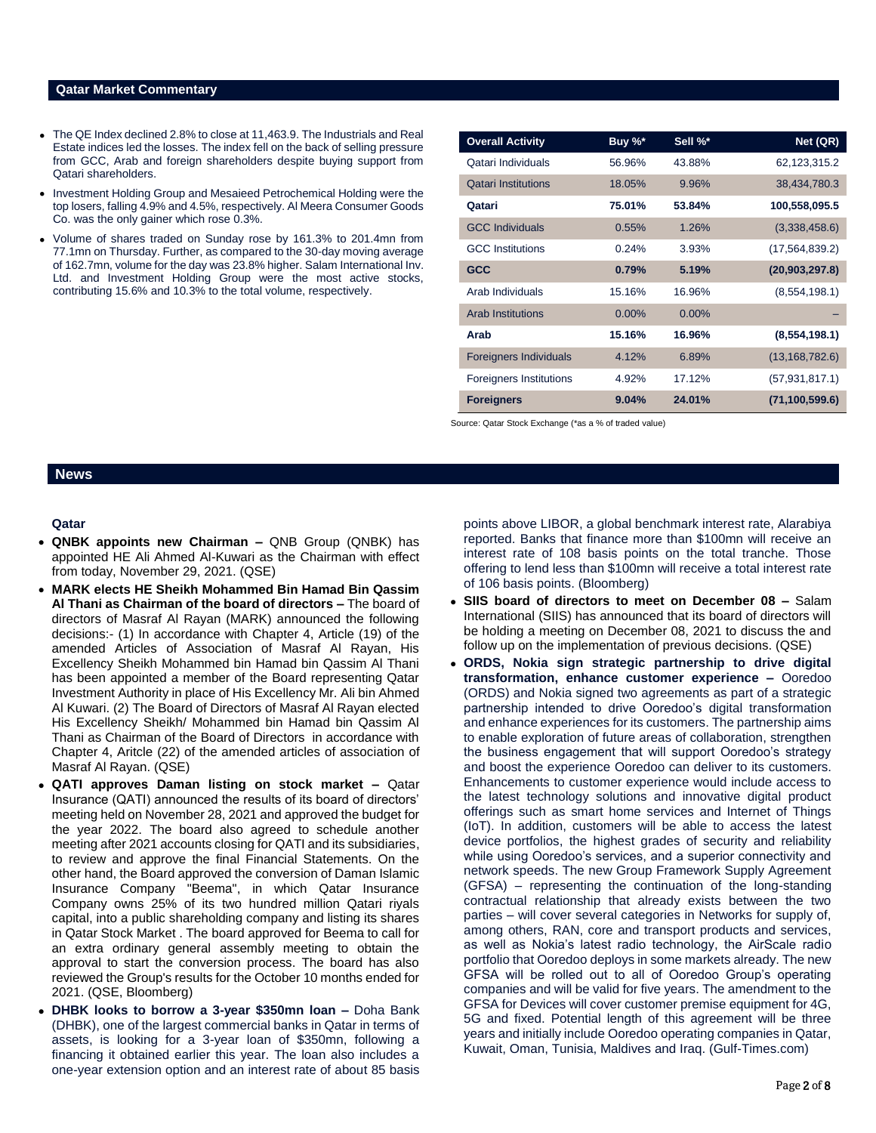### **Qatar Market Commentary**

- The QE Index declined 2.8% to close at 11,463.9. The Industrials and Real Estate indices led the losses. The index fell on the back of selling pressure from GCC, Arab and foreign shareholders despite buying support from Qatari shareholders.
- Investment Holding Group and Mesaieed Petrochemical Holding were the top losers, falling 4.9% and 4.5%, respectively. Al Meera Consumer Goods Co. was the only gainer which rose 0.3%.
- Volume of shares traded on Sunday rose by 161.3% to 201.4mn from 77.1mn on Thursday. Further, as compared to the 30-day moving average of 162.7mn, volume for the day was 23.8% higher. Salam International Inv. Ltd. and Investment Holding Group were the most active stocks, contributing 15.6% and 10.3% to the total volume, respectively.

| <b>Overall Activity</b>        | Buy %*   | Sell %*  | Net (QR)         |
|--------------------------------|----------|----------|------------------|
| Qatari Individuals             | 56.96%   | 43.88%   | 62, 123, 315. 2  |
| <b>Qatari Institutions</b>     | 18.05%   | 9.96%    | 38,434,780.3     |
| Qatari                         | 75.01%   | 53.84%   | 100,558,095.5    |
| <b>GCC Individuals</b>         | 0.55%    | 1.26%    | (3,338,458.6)    |
| <b>GCC</b> Institutions        | 0.24%    | 3.93%    | (17, 564, 839.2) |
| <b>GCC</b>                     | 0.79%    | 5.19%    | (20,903,297.8)   |
| Arab Individuals               | 15.16%   | 16.96%   | (8,554,198.1)    |
| Arab Institutions              | $0.00\%$ | $0.00\%$ |                  |
| Arab                           | 15.16%   | 16.96%   | (8,554,198.1)    |
| <b>Foreigners Individuals</b>  | 4.12%    | 6.89%    | (13, 168, 782.6) |
| <b>Foreigners Institutions</b> | 4.92%    | 17.12%   | (57, 931, 817.1) |
| <b>Foreigners</b>              | 9.04%    | 24.01%   | (71, 100, 599.6) |

Source: Qatar Stock Exchange (\*as a % of traded value)

# **News**

# **Qatar**

- **QNBK appoints new Chairman –** QNB Group (QNBK) has appointed HE Ali Ahmed Al-Kuwari as the Chairman with effect from today, November 29, 2021. (QSE)
- **MARK elects HE Sheikh Mohammed Bin Hamad Bin Qassim Al Thani as Chairman of the board of directors –** The board of directors of Masraf Al Rayan (MARK) announced the following decisions:- (1) In accordance with Chapter 4, Article (19) of the amended Articles of Association of Masraf Al Rayan, His Excellency Sheikh Mohammed bin Hamad bin Qassim Al Thani has been appointed a member of the Board representing Qatar Investment Authority in place of His Excellency Mr. Ali bin Ahmed Al Kuwari. (2) The Board of Directors of Masraf Al Rayan elected His Excellency Sheikh/ Mohammed bin Hamad bin Qassim Al Thani as Chairman of the Board of Directors in accordance with Chapter 4, Aritcle (22) of the amended articles of association of Masraf Al Rayan. (QSE)
- **QATI approves Daman listing on stock market –** Qatar Insurance (QATI) announced the results of its board of directors' meeting held on November 28, 2021 and approved the budget for the year 2022. The board also agreed to schedule another meeting after 2021 accounts closing for QATI and its subsidiaries, to review and approve the final Financial Statements. On the other hand, the Board approved the conversion of Daman Islamic Insurance Company "Beema", in which Qatar Insurance Company owns 25% of its two hundred million Qatari riyals capital, into a public shareholding company and listing its shares in Qatar Stock Market . The board approved for Beema to call for an extra ordinary general assembly meeting to obtain the approval to start the conversion process. The board has also reviewed the Group's results for the October 10 months ended for 2021. (QSE, Bloomberg)
- **DHBK looks to borrow a 3-year \$350mn loan –** Doha Bank (DHBK), one of the largest commercial banks in Qatar in terms of assets, is looking for a 3-year loan of \$350mn, following a financing it obtained earlier this year. The loan also includes a one-year extension option and an interest rate of about 85 basis

points above LIBOR, a global benchmark interest rate, Alarabiya reported. Banks that finance more than \$100mn will receive an interest rate of 108 basis points on the total tranche. Those offering to lend less than \$100mn will receive a total interest rate of 106 basis points. (Bloomberg)

- **SIIS board of directors to meet on December 08 –** Salam International (SIIS) has announced that its board of directors will be holding a meeting on December 08, 2021 to discuss the and follow up on the implementation of previous decisions. (QSE)
- **ORDS, Nokia sign strategic partnership to drive digital transformation, enhance customer experience –** Ooredoo (ORDS) and Nokia signed two agreements as part of a strategic partnership intended to drive Ooredoo's digital transformation and enhance experiences for its customers. The partnership aims to enable exploration of future areas of collaboration, strengthen the business engagement that will support Ooredoo's strategy and boost the experience Ooredoo can deliver to its customers. Enhancements to customer experience would include access to the latest technology solutions and innovative digital product offerings such as smart home services and Internet of Things (IoT). In addition, customers will be able to access the latest device portfolios, the highest grades of security and reliability while using Ooredoo's services, and a superior connectivity and network speeds. The new Group Framework Supply Agreement (GFSA) – representing the continuation of the long-standing contractual relationship that already exists between the two parties – will cover several categories in Networks for supply of, among others, RAN, core and transport products and services, as well as Nokia's latest radio technology, the AirScale radio portfolio that Ooredoo deploys in some markets already. The new GFSA will be rolled out to all of Ooredoo Group's operating companies and will be valid for five years. The amendment to the GFSA for Devices will cover customer premise equipment for 4G, 5G and fixed. Potential length of this agreement will be three years and initially include Ooredoo operating companies in Qatar, Kuwait, Oman, Tunisia, Maldives and Iraq. (Gulf-Times.com)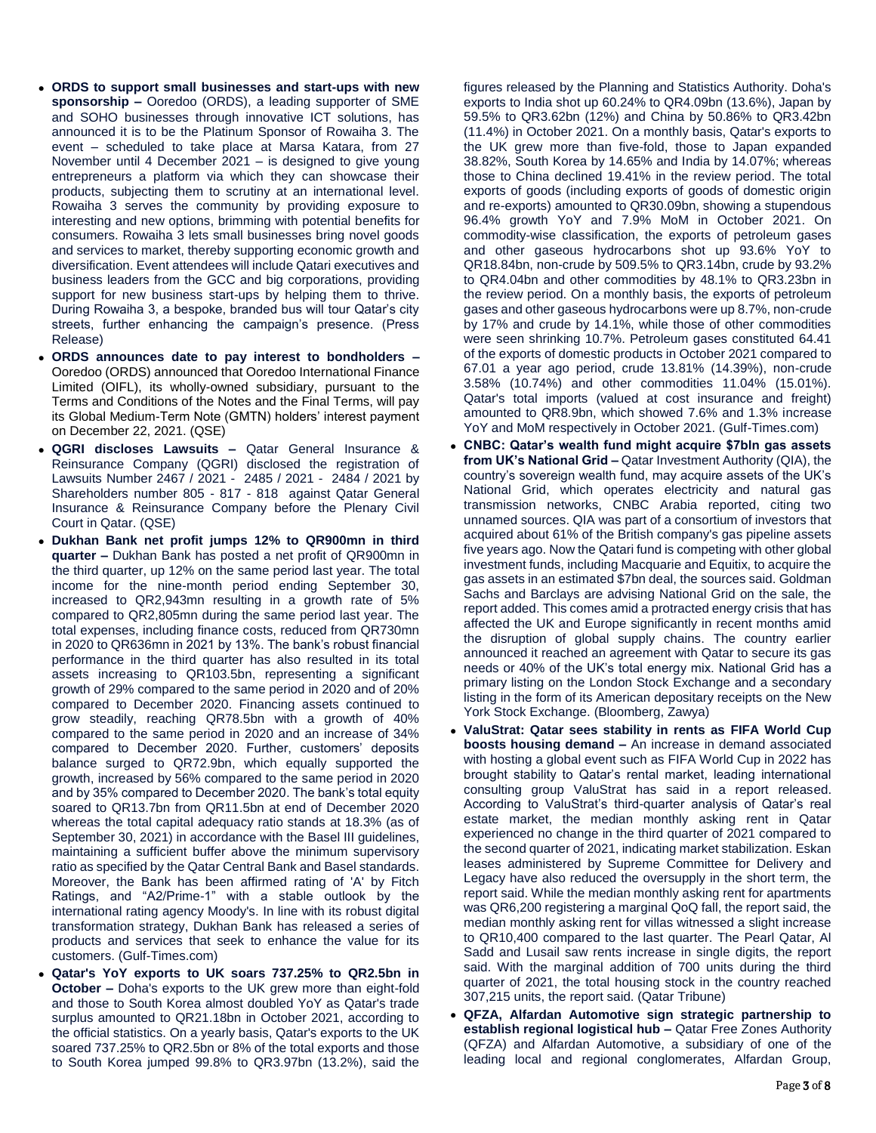- **ORDS to support small businesses and start-ups with new sponsorship –** Ooredoo (ORDS), a leading supporter of SME and SOHO businesses through innovative ICT solutions, has announced it is to be the Platinum Sponsor of Rowaiha 3. The event – scheduled to take place at Marsa Katara, from 27 November until 4 December 2021 – is designed to give young entrepreneurs a platform via which they can showcase their products, subjecting them to scrutiny at an international level. Rowaiha 3 serves the community by providing exposure to interesting and new options, brimming with potential benefits for consumers. Rowaiha 3 lets small businesses bring novel goods and services to market, thereby supporting economic growth and diversification. Event attendees will include Qatari executives and business leaders from the GCC and big corporations, providing support for new business start-ups by helping them to thrive. During Rowaiha 3, a bespoke, branded bus will tour Qatar's city streets, further enhancing the campaign's presence. (Press Release)
- **ORDS announces date to pay interest to bondholders –** Ooredoo (ORDS) announced that Ooredoo International Finance Limited (OIFL), its wholly-owned subsidiary, pursuant to the Terms and Conditions of the Notes and the Final Terms, will pay its Global Medium-Term Note (GMTN) holders' interest payment on December 22, 2021. (QSE)
- **QGRI discloses Lawsuits –** Qatar General Insurance & Reinsurance Company (QGRI) disclosed the registration of Lawsuits Number 2467 / 2021 - 2485 / 2021 - 2484 / 2021 by Shareholders number 805 - 817 - 818 against Qatar General Insurance & Reinsurance Company before the Plenary Civil Court in Qatar. (QSE)
- **Dukhan Bank net profit jumps 12% to QR900mn in third quarter –** Dukhan Bank has posted a net profit of QR900mn in the third quarter, up 12% on the same period last year. The total income for the nine-month period ending September 30, increased to QR2,943mn resulting in a growth rate of 5% compared to QR2,805mn during the same period last year. The total expenses, including finance costs, reduced from QR730mn in 2020 to QR636mn in 2021 by 13%. The bank's robust financial performance in the third quarter has also resulted in its total assets increasing to QR103.5bn, representing a significant growth of 29% compared to the same period in 2020 and of 20% compared to December 2020. Financing assets continued to grow steadily, reaching QR78.5bn with a growth of 40% compared to the same period in 2020 and an increase of 34% compared to December 2020. Further, customers' deposits balance surged to QR72.9bn, which equally supported the growth, increased by 56% compared to the same period in 2020 and by 35% compared to December 2020. The bank's total equity soared to QR13.7bn from QR11.5bn at end of December 2020 whereas the total capital adequacy ratio stands at 18.3% (as of September 30, 2021) in accordance with the Basel III guidelines, maintaining a sufficient buffer above the minimum supervisory ratio as specified by the Qatar Central Bank and Basel standards. Moreover, the Bank has been affirmed rating of 'A' by Fitch Ratings, and "A2/Prime-1" with a stable outlook by the international rating agency Moody's. In line with its robust digital transformation strategy, Dukhan Bank has released a series of products and services that seek to enhance the value for its customers. (Gulf-Times.com)
- **Qatar's YoY exports to UK soars 737.25% to QR2.5bn in October –** Doha's exports to the UK grew more than eight-fold and those to South Korea almost doubled YoY as Qatar's trade surplus amounted to QR21.18bn in October 2021, according to the official statistics. On a yearly basis, Qatar's exports to the UK soared 737.25% to QR2.5bn or 8% of the total exports and those to South Korea jumped 99.8% to QR3.97bn (13.2%), said the

figures released by the Planning and Statistics Authority. Doha's exports to India shot up 60.24% to QR4.09bn (13.6%), Japan by 59.5% to QR3.62bn (12%) and China by 50.86% to QR3.42bn (11.4%) in October 2021. On a monthly basis, Qatar's exports to the UK grew more than five-fold, those to Japan expanded 38.82%, South Korea by 14.65% and India by 14.07%; whereas those to China declined 19.41% in the review period. The total exports of goods (including exports of goods of domestic origin and re-exports) amounted to QR30.09bn, showing a stupendous 96.4% growth YoY and 7.9% MoM in October 2021. On commodity-wise classification, the exports of petroleum gases and other gaseous hydrocarbons shot up 93.6% YoY to QR18.84bn, non-crude by 509.5% to QR3.14bn, crude by 93.2% to QR4.04bn and other commodities by 48.1% to QR3.23bn in the review period. On a monthly basis, the exports of petroleum gases and other gaseous hydrocarbons were up 8.7%, non-crude by 17% and crude by 14.1%, while those of other commodities were seen shrinking 10.7%. Petroleum gases constituted 64.41 of the exports of domestic products in October 2021 compared to 67.01 a year ago period, crude 13.81% (14.39%), non-crude 3.58% (10.74%) and other commodities 11.04% (15.01%). Qatar's total imports (valued at cost insurance and freight) amounted to QR8.9bn, which showed 7.6% and 1.3% increase YoY and MoM respectively in October 2021. (Gulf-Times.com)

- **CNBC: Qatar's wealth fund might acquire \$7bln gas assets from UK's National Grid –** Qatar Investment Authority (QIA), the country's sovereign wealth fund, may acquire assets of the UK's National Grid, which operates electricity and natural gas transmission networks, CNBC Arabia reported, citing two unnamed sources. QIA was part of a consortium of investors that acquired about 61% of the British company's gas pipeline assets five years ago. Now the Qatari fund is competing with other global investment funds, including Macquarie and Equitix, to acquire the gas assets in an estimated \$7bn deal, the sources said. Goldman Sachs and Barclays are advising National Grid on the sale, the report added. This comes amid a protracted energy crisis that has affected the UK and Europe significantly in recent months amid the disruption of global supply chains. The country earlier announced it reached an agreement with Qatar to secure its gas needs or 40% of the UK's total energy mix. National Grid has a primary listing on the London Stock Exchange and a secondary listing in the form of its American depositary receipts on the New York Stock Exchange. (Bloomberg, Zawya)
- **ValuStrat: Qatar sees stability in rents as FIFA World Cup boosts housing demand –** An increase in demand associated with hosting a global event such as FIFA World Cup in 2022 has brought stability to Qatar's rental market, leading international consulting group ValuStrat has said in a report released. According to ValuStrat's third-quarter analysis of Qatar's real estate market, the median monthly asking rent in Qatar experienced no change in the third quarter of 2021 compared to the second quarter of 2021, indicating market stabilization. Eskan leases administered by Supreme Committee for Delivery and Legacy have also reduced the oversupply in the short term, the report said. While the median monthly asking rent for apartments was QR6,200 registering a marginal QoQ fall, the report said, the median monthly asking rent for villas witnessed a slight increase to QR10,400 compared to the last quarter. The Pearl Qatar, Al Sadd and Lusail saw rents increase in single digits, the report said. With the marginal addition of 700 units during the third quarter of 2021, the total housing stock in the country reached 307,215 units, the report said. (Qatar Tribune)
- **QFZA, Alfardan Automotive sign strategic partnership to establish regional logistical hub –** Qatar Free Zones Authority (QFZA) and Alfardan Automotive, a subsidiary of one of the leading local and regional conglomerates, Alfardan Group,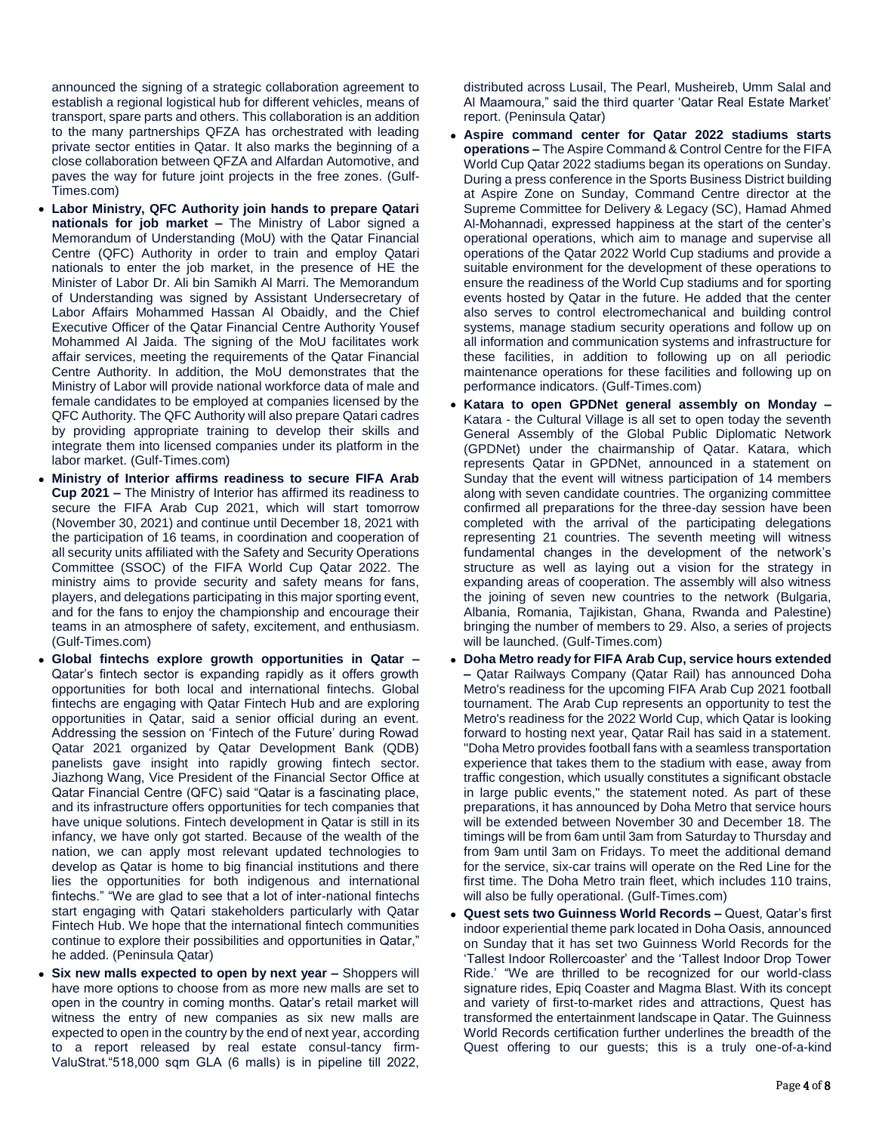announced the signing of a strategic collaboration agreement to establish a regional logistical hub for different vehicles, means of transport, spare parts and others. This collaboration is an addition to the many partnerships QFZA has orchestrated with leading private sector entities in Qatar. It also marks the beginning of a close collaboration between QFZA and Alfardan Automotive, and paves the way for future joint projects in the free zones. (Gulf-Times.com)

- **Labor Ministry, QFC Authority join hands to prepare Qatari nationals for job market –** The Ministry of Labor signed a Memorandum of Understanding (MoU) with the Qatar Financial Centre (QFC) Authority in order to train and employ Qatari nationals to enter the job market, in the presence of HE the Minister of Labor Dr. Ali bin Samikh Al Marri. The Memorandum of Understanding was signed by Assistant Undersecretary of Labor Affairs Mohammed Hassan Al Obaidly, and the Chief Executive Officer of the Qatar Financial Centre Authority Yousef Mohammed Al Jaida. The signing of the MoU facilitates work affair services, meeting the requirements of the Qatar Financial Centre Authority. In addition, the MoU demonstrates that the Ministry of Labor will provide national workforce data of male and female candidates to be employed at companies licensed by the QFC Authority. The QFC Authority will also prepare Qatari cadres by providing appropriate training to develop their skills and integrate them into licensed companies under its platform in the labor market. (Gulf-Times.com)
- **Ministry of Interior affirms readiness to secure FIFA Arab Cup 2021 –** The Ministry of Interior has affirmed its readiness to secure the FIFA Arab Cup 2021, which will start tomorrow (November 30, 2021) and continue until December 18, 2021 with the participation of 16 teams, in coordination and cooperation of all security units affiliated with the Safety and Security Operations Committee (SSOC) of the FIFA World Cup Qatar 2022. The ministry aims to provide security and safety means for fans, players, and delegations participating in this major sporting event, and for the fans to enjoy the championship and encourage their teams in an atmosphere of safety, excitement, and enthusiasm. (Gulf-Times.com)
- **Global fintechs explore growth opportunities in Qatar –** Qatar's fintech sector is expanding rapidly as it offers growth opportunities for both local and international fintechs. Global fintechs are engaging with Qatar Fintech Hub and are exploring opportunities in Qatar, said a senior official during an event. Addressing the session on 'Fintech of the Future' during Rowad Qatar 2021 organized by Qatar Development Bank (QDB) panelists gave insight into rapidly growing fintech sector. Jiazhong Wang, Vice President of the Financial Sector Office at Qatar Financial Centre (QFC) said "Qatar is a fascinating place, and its infrastructure offers opportunities for tech companies that have unique solutions. Fintech development in Qatar is still in its infancy, we have only got started. Because of the wealth of the nation, we can apply most relevant updated technologies to develop as Qatar is home to big financial institutions and there lies the opportunities for both indigenous and international fintechs." "We are glad to see that a lot of inter-national fintechs start engaging with Qatari stakeholders particularly with Qatar Fintech Hub. We hope that the international fintech communities continue to explore their possibilities and opportunities in Qatar," he added. (Peninsula Qatar)
- **Six new malls expected to open by next year –** Shoppers will have more options to choose from as more new malls are set to open in the country in coming months. Qatar's retail market will witness the entry of new companies as six new malls are expected to open in the country by the end of next year, according to a report released by real estate consul-tancy firm-ValuStrat."518,000 sqm GLA (6 malls) is in pipeline till 2022,

distributed across Lusail, The Pearl, Musheireb, Umm Salal and Al Maamoura," said the third quarter 'Qatar Real Estate Market' report. (Peninsula Qatar)

- **Aspire command center for Qatar 2022 stadiums starts operations –** The Aspire Command & Control Centre for the FIFA World Cup Qatar 2022 stadiums began its operations on Sunday. During a press conference in the Sports Business District building at Aspire Zone on Sunday, Command Centre director at the Supreme Committee for Delivery & Legacy (SC), Hamad Ahmed Al-Mohannadi, expressed happiness at the start of the center's operational operations, which aim to manage and supervise all operations of the Qatar 2022 World Cup stadiums and provide a suitable environment for the development of these operations to ensure the readiness of the World Cup stadiums and for sporting events hosted by Qatar in the future. He added that the center also serves to control electromechanical and building control systems, manage stadium security operations and follow up on all information and communication systems and infrastructure for these facilities, in addition to following up on all periodic maintenance operations for these facilities and following up on performance indicators. (Gulf-Times.com)
- **Katara to open GPDNet general assembly on Monday –** Katara - the Cultural Village is all set to open today the seventh General Assembly of the Global Public Diplomatic Network (GPDNet) under the chairmanship of Qatar. Katara, which represents Qatar in GPDNet, announced in a statement on Sunday that the event will witness participation of 14 members along with seven candidate countries. The organizing committee confirmed all preparations for the three-day session have been completed with the arrival of the participating delegations representing 21 countries. The seventh meeting will witness fundamental changes in the development of the network's structure as well as laying out a vision for the strategy in expanding areas of cooperation. The assembly will also witness the joining of seven new countries to the network (Bulgaria, Albania, Romania, Tajikistan, Ghana, Rwanda and Palestine) bringing the number of members to 29. Also, a series of projects will be launched. (Gulf-Times.com)
- **Doha Metro ready for FIFA Arab Cup, service hours extended –** Qatar Railways Company (Qatar Rail) has announced Doha Metro's readiness for the upcoming FIFA Arab Cup 2021 football tournament. The Arab Cup represents an opportunity to test the Metro's readiness for the 2022 World Cup, which Qatar is looking forward to hosting next year, Qatar Rail has said in a statement. "Doha Metro provides football fans with a seamless transportation experience that takes them to the stadium with ease, away from traffic congestion, which usually constitutes a significant obstacle in large public events," the statement noted. As part of these preparations, it has announced by Doha Metro that service hours will be extended between November 30 and December 18. The timings will be from 6am until 3am from Saturday to Thursday and from 9am until 3am on Fridays. To meet the additional demand for the service, six-car trains will operate on the Red Line for the first time. The Doha Metro train fleet, which includes 110 trains, will also be fully operational. (Gulf-Times.com)
- **Quest sets two Guinness World Records –** Quest, Qatar's first indoor experiential theme park located in Doha Oasis, announced on Sunday that it has set two Guinness World Records for the 'Tallest Indoor Rollercoaster' and the 'Tallest Indoor Drop Tower Ride.' "We are thrilled to be recognized for our world-class signature rides, Epiq Coaster and Magma Blast. With its concept and variety of first-to-market rides and attractions, Quest has transformed the entertainment landscape in Qatar. The Guinness World Records certification further underlines the breadth of the Quest offering to our guests; this is a truly one-of-a-kind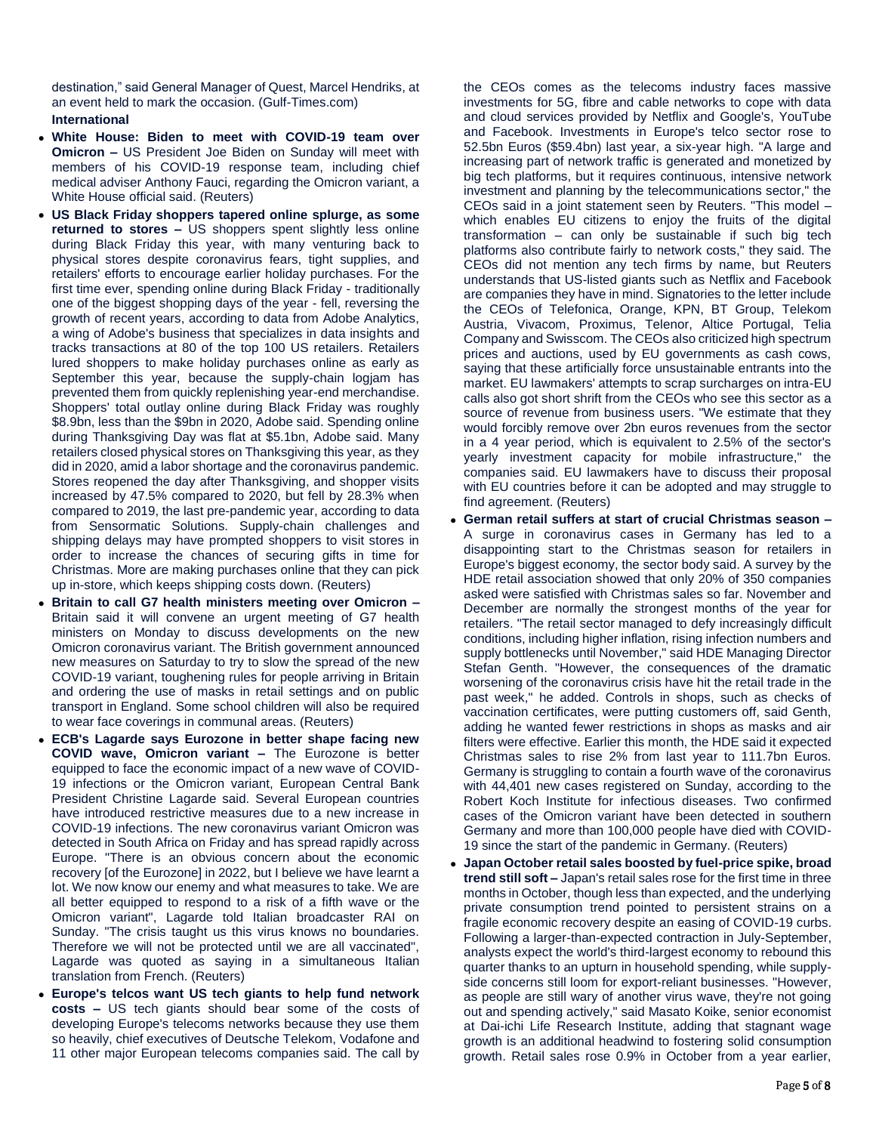destination," said General Manager of Quest, Marcel Hendriks, at an event held to mark the occasion. (Gulf-Times.com) **International**

- **White House: Biden to meet with COVID-19 team over Omicron –** US President Joe Biden on Sunday will meet with members of his COVID-19 response team, including chief medical adviser Anthony Fauci, regarding the Omicron variant, a White House official said. (Reuters)
- **US Black Friday shoppers tapered online splurge, as some returned to stores –** US shoppers spent slightly less online during Black Friday this year, with many venturing back to physical stores despite coronavirus fears, tight supplies, and retailers' efforts to encourage earlier holiday purchases. For the first time ever, spending online during Black Friday - traditionally one of the biggest shopping days of the year - fell, reversing the growth of recent years, according to data from Adobe Analytics, a wing of Adobe's business that specializes in data insights and tracks transactions at 80 of the top 100 US retailers. Retailers lured shoppers to make holiday purchases online as early as September this year, because the supply-chain logiam has prevented them from quickly replenishing year-end merchandise. Shoppers' total outlay online during Black Friday was roughly \$8.9bn, less than the \$9bn in 2020, Adobe said. Spending online during Thanksgiving Day was flat at \$5.1bn, Adobe said. Many retailers closed physical stores on Thanksgiving this year, as they did in 2020, amid a labor shortage and the coronavirus pandemic. Stores reopened the day after Thanksgiving, and shopper visits increased by 47.5% compared to 2020, but fell by 28.3% when compared to 2019, the last pre-pandemic year, according to data from Sensormatic Solutions. Supply-chain challenges and shipping delays may have prompted shoppers to visit stores in order to increase the chances of securing gifts in time for Christmas. More are making purchases online that they can pick up in-store, which keeps shipping costs down. (Reuters)
- **Britain to call G7 health ministers meeting over Omicron –** Britain said it will convene an urgent meeting of G7 health ministers on Monday to discuss developments on the new Omicron coronavirus variant. The British government announced new measures on Saturday to try to slow the spread of the new COVID-19 variant, toughening rules for people arriving in Britain and ordering the use of masks in retail settings and on public transport in England. Some school children will also be required to wear face coverings in communal areas. (Reuters)
- **ECB's Lagarde says Eurozone in better shape facing new COVID wave, Omicron variant –** The Eurozone is better equipped to face the economic impact of a new wave of COVID-19 infections or the Omicron variant, European Central Bank President Christine Lagarde said. Several European countries have introduced restrictive measures due to a new increase in COVID-19 infections. The new coronavirus variant Omicron was detected in South Africa on Friday and has spread rapidly across Europe. "There is an obvious concern about the economic recovery [of the Eurozone] in 2022, but I believe we have learnt a lot. We now know our enemy and what measures to take. We are all better equipped to respond to a risk of a fifth wave or the Omicron variant", Lagarde told Italian broadcaster RAI on Sunday. "The crisis taught us this virus knows no boundaries. Therefore we will not be protected until we are all vaccinated", Lagarde was quoted as saying in a simultaneous Italian translation from French. (Reuters)
- **Europe's telcos want US tech giants to help fund network costs –** US tech giants should bear some of the costs of developing Europe's telecoms networks because they use them so heavily, chief executives of Deutsche Telekom, Vodafone and 11 other major European telecoms companies said. The call by

the CEOs comes as the telecoms industry faces massive investments for 5G, fibre and cable networks to cope with data and cloud services provided by Netflix and Google's, YouTube and Facebook. Investments in Europe's telco sector rose to 52.5bn Euros (\$59.4bn) last year, a six-year high. "A large and increasing part of network traffic is generated and monetized by big tech platforms, but it requires continuous, intensive network investment and planning by the telecommunications sector," the CEOs said in a joint statement seen by Reuters. "This model – which enables EU citizens to enjoy the fruits of the digital transformation – can only be sustainable if such big tech platforms also contribute fairly to network costs," they said. The CEOs did not mention any tech firms by name, but Reuters understands that US-listed giants such as Netflix and Facebook are companies they have in mind. Signatories to the letter include the CEOs of Telefonica, Orange, KPN, BT Group, Telekom Austria, Vivacom, Proximus, Telenor, Altice Portugal, Telia Company and Swisscom. The CEOs also criticized high spectrum prices and auctions, used by EU governments as cash cows, saying that these artificially force unsustainable entrants into the market. EU lawmakers' attempts to scrap surcharges on intra-EU calls also got short shrift from the CEOs who see this sector as a source of revenue from business users. "We estimate that they would forcibly remove over 2bn euros revenues from the sector in a 4 year period, which is equivalent to 2.5% of the sector's yearly investment capacity for mobile infrastructure," the companies said. EU lawmakers have to discuss their proposal with EU countries before it can be adopted and may struggle to find agreement. (Reuters)

- **German retail suffers at start of crucial Christmas season –** A surge in coronavirus cases in Germany has led to a disappointing start to the Christmas season for retailers in Europe's biggest economy, the sector body said. A survey by the HDE retail association showed that only 20% of 350 companies asked were satisfied with Christmas sales so far. November and December are normally the strongest months of the year for retailers. "The retail sector managed to defy increasingly difficult conditions, including higher inflation, rising infection numbers and supply bottlenecks until November," said HDE Managing Director Stefan Genth. "However, the consequences of the dramatic worsening of the coronavirus crisis have hit the retail trade in the past week," he added. Controls in shops, such as checks of vaccination certificates, were putting customers off, said Genth, adding he wanted fewer restrictions in shops as masks and air filters were effective. Earlier this month, the HDE said it expected Christmas sales to rise 2% from last year to 111.7bn Euros. Germany is struggling to contain a fourth wave of the coronavirus with 44,401 new cases registered on Sunday, according to the Robert Koch Institute for infectious diseases. Two confirmed cases of the Omicron variant have been detected in southern Germany and more than 100,000 people have died with COVID-19 since the start of the pandemic in Germany. (Reuters)
- **Japan October retail sales boosted by fuel-price spike, broad trend still soft –** Japan's retail sales rose for the first time in three months in October, though less than expected, and the underlying private consumption trend pointed to persistent strains on a fragile economic recovery despite an easing of COVID-19 curbs. Following a larger-than-expected contraction in July-September, analysts expect the world's third-largest economy to rebound this quarter thanks to an upturn in household spending, while supplyside concerns still loom for export-reliant businesses. "However, as people are still wary of another virus wave, they're not going out and spending actively," said Masato Koike, senior economist at Dai-ichi Life Research Institute, adding that stagnant wage growth is an additional headwind to fostering solid consumption growth. Retail sales rose 0.9% in October from a year earlier,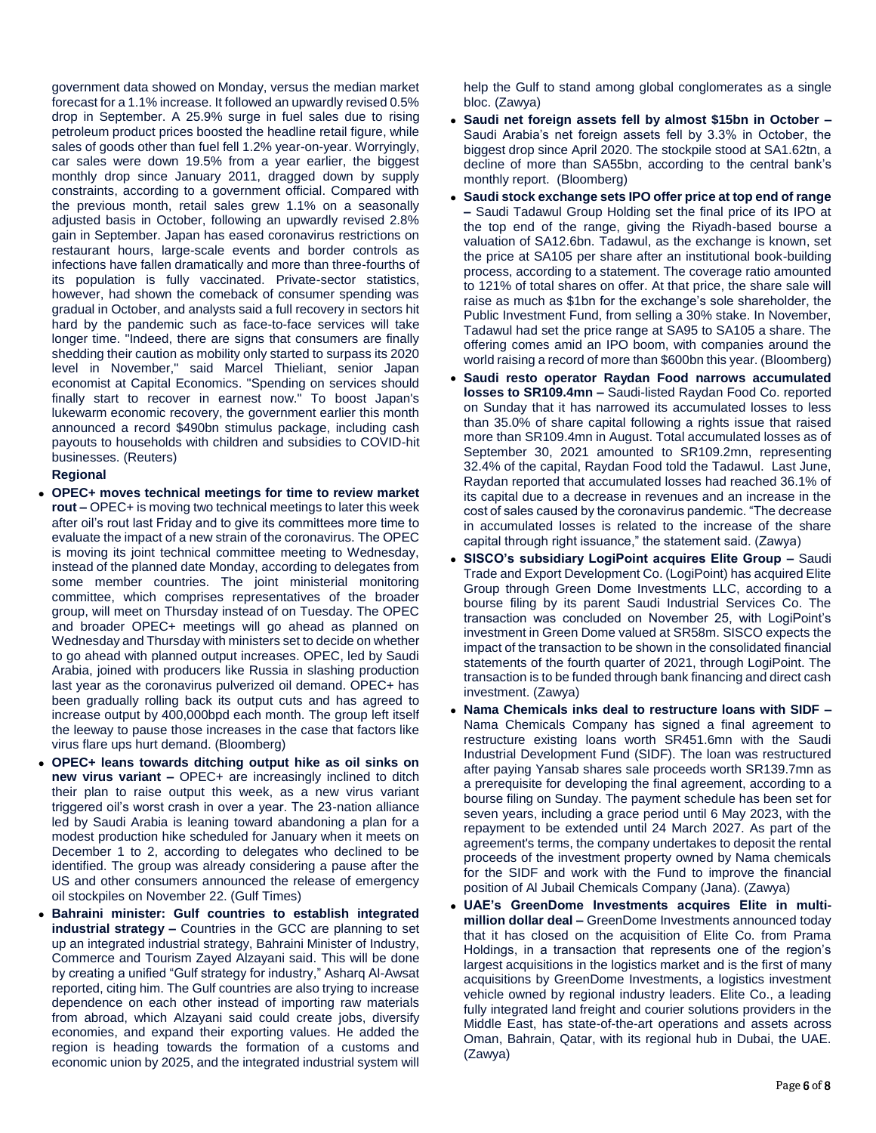government data showed on Monday, versus the median market forecast for a 1.1% increase. It followed an upwardly revised 0.5% drop in September. A 25.9% surge in fuel sales due to rising petroleum product prices boosted the headline retail figure, while sales of goods other than fuel fell 1.2% year-on-year. Worryingly, car sales were down 19.5% from a year earlier, the biggest monthly drop since January 2011, dragged down by supply constraints, according to a government official. Compared with the previous month, retail sales grew 1.1% on a seasonally adjusted basis in October, following an upwardly revised 2.8% gain in September. Japan has eased coronavirus restrictions on restaurant hours, large-scale events and border controls as infections have fallen dramatically and more than three-fourths of its population is fully vaccinated. Private-sector statistics, however, had shown the comeback of consumer spending was gradual in October, and analysts said a full recovery in sectors hit hard by the pandemic such as face-to-face services will take longer time. "Indeed, there are signs that consumers are finally shedding their caution as mobility only started to surpass its 2020 level in November," said Marcel Thieliant, senior Japan economist at Capital Economics. "Spending on services should finally start to recover in earnest now." To boost Japan's lukewarm economic recovery, the government earlier this month announced a record \$490bn stimulus package, including cash payouts to households with children and subsidies to COVID-hit businesses. (Reuters)

# **Regional**

- **OPEC+ moves technical meetings for time to review market rout –** OPEC+ is moving two technical meetings to later this week after oil's rout last Friday and to give its committees more time to evaluate the impact of a new strain of the coronavirus. The OPEC is moving its joint technical committee meeting to Wednesday, instead of the planned date Monday, according to delegates from some member countries. The joint ministerial monitoring committee, which comprises representatives of the broader group, will meet on Thursday instead of on Tuesday. The OPEC and broader OPEC+ meetings will go ahead as planned on Wednesday and Thursday with ministers set to decide on whether to go ahead with planned output increases. OPEC, led by Saudi Arabia, joined with producers like Russia in slashing production last year as the coronavirus pulverized oil demand. OPEC+ has been gradually rolling back its output cuts and has agreed to increase output by 400,000bpd each month. The group left itself the leeway to pause those increases in the case that factors like virus flare ups hurt demand. (Bloomberg)
- **OPEC+ leans towards ditching output hike as oil sinks on new virus variant –** OPEC+ are increasingly inclined to ditch their plan to raise output this week, as a new virus variant triggered oil's worst crash in over a year. The 23-nation alliance led by Saudi Arabia is leaning toward abandoning a plan for a modest production hike scheduled for January when it meets on December 1 to 2, according to delegates who declined to be identified. The group was already considering a pause after the US and other consumers announced the release of emergency oil stockpiles on November 22. (Gulf Times)
- **Bahraini minister: Gulf countries to establish integrated industrial strategy –** Countries in the GCC are planning to set up an integrated industrial strategy, Bahraini Minister of Industry, Commerce and Tourism Zayed Alzayani said. This will be done by creating a unified "Gulf strategy for industry," Asharq Al-Awsat reported, citing him. The Gulf countries are also trying to increase dependence on each other instead of importing raw materials from abroad, which Alzayani said could create jobs, diversify economies, and expand their exporting values. He added the region is heading towards the formation of a customs and economic union by 2025, and the integrated industrial system will

help the Gulf to stand among global conglomerates as a single bloc. (Zawya)

- **Saudi net foreign assets fell by almost \$15bn in October –** Saudi Arabia's net foreign assets fell by 3.3% in October, the biggest drop since April 2020. The stockpile stood at SA1.62tn, a decline of more than SA55bn, according to the central bank's monthly report. (Bloomberg)
- **Saudi stock exchange sets IPO offer price at top end of range –** Saudi Tadawul Group Holding set the final price of its IPO at the top end of the range, giving the Riyadh-based bourse a valuation of SA12.6bn. Tadawul, as the exchange is known, set the price at SA105 per share after an institutional book-building process, according to a statement. The coverage ratio amounted to 121% of total shares on offer. At that price, the share sale will raise as much as \$1bn for the exchange's sole shareholder, the Public Investment Fund, from selling a 30% stake. In November, Tadawul had set the price range at SA95 to SA105 a share. The offering comes amid an IPO boom, with companies around the world raising a record of more than \$600bn this year. (Bloomberg)
- **Saudi resto operator Raydan Food narrows accumulated losses to SR109.4mn –** Saudi-listed Raydan Food Co. reported on Sunday that it has narrowed its accumulated losses to less than 35.0% of share capital following a rights issue that raised more than SR109.4mn in August. Total accumulated losses as of September 30, 2021 amounted to SR109.2mn, representing 32.4% of the capital, Raydan Food told the Tadawul. Last June, Raydan reported that accumulated losses had reached 36.1% of its capital due to a decrease in revenues and an increase in the cost of sales caused by the coronavirus pandemic. "The decrease in accumulated losses is related to the increase of the share capital through right issuance," the statement said. (Zawya)
- **SISCO's subsidiary LogiPoint acquires Elite Group –** Saudi Trade and Export Development Co. (LogiPoint) has acquired Elite Group through Green Dome Investments LLC, according to a bourse filing by its parent Saudi Industrial Services Co. The transaction was concluded on November 25, with LogiPoint's investment in Green Dome valued at SR58m. SISCO expects the impact of the transaction to be shown in the consolidated financial statements of the fourth quarter of 2021, through LogiPoint. The transaction is to be funded through bank financing and direct cash investment. (Zawya)
- **Nama Chemicals inks deal to restructure loans with SIDF –** Nama Chemicals Company has signed a final agreement to restructure existing loans worth SR451.6mn with the Saudi Industrial Development Fund (SIDF). The loan was restructured after paying Yansab shares sale proceeds worth SR139.7mn as a prerequisite for developing the final agreement, according to a bourse filing on Sunday. The payment schedule has been set for seven years, including a grace period until 6 May 2023, with the repayment to be extended until 24 March 2027. As part of the agreement's terms, the company undertakes to deposit the rental proceeds of the investment property owned by Nama chemicals for the SIDF and work with the Fund to improve the financial position of Al Jubail Chemicals Company (Jana). (Zawya)
- **UAE's GreenDome Investments acquires Elite in multimillion dollar deal –** GreenDome Investments announced today that it has closed on the acquisition of Elite Co. from Prama Holdings, in a transaction that represents one of the region's largest acquisitions in the logistics market and is the first of many acquisitions by GreenDome Investments, a logistics investment vehicle owned by regional industry leaders. Elite Co., a leading fully integrated land freight and courier solutions providers in the Middle East, has state-of-the-art operations and assets across Oman, Bahrain, Qatar, with its regional hub in Dubai, the UAE. (Zawya)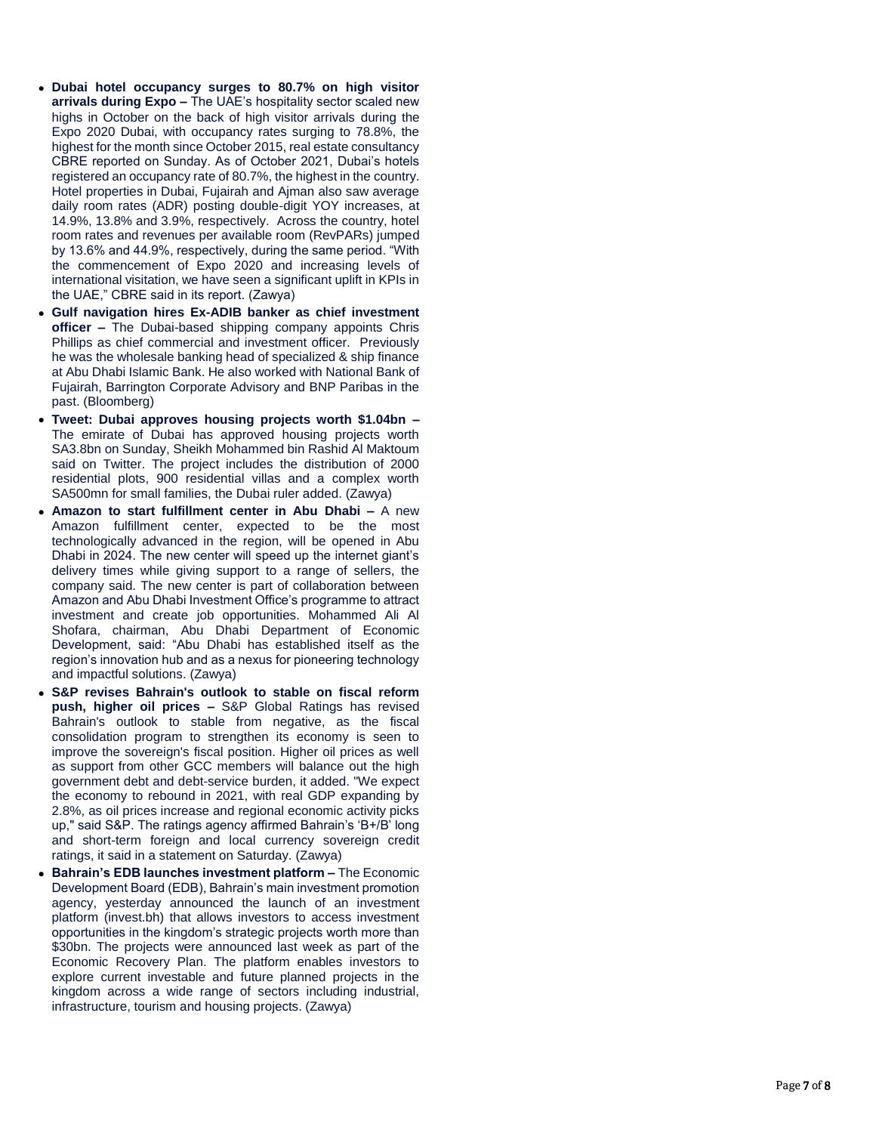- **Dubai hotel occupancy surges to 80.7% on high visitor arrivals during Expo –** The UAE's hospitality sector scaled new highs in October on the back of high visitor arrivals during the Expo 2020 Dubai, with occupancy rates surging to 78.8%, the highest for the month since October 2015, real estate consultancy CBRE reported on Sunday. As of October 2021, Dubai's hotels registered an occupancy rate of 80.7%, the highest in the country. Hotel properties in Dubai, Fujairah and Ajman also saw average daily room rates (ADR) posting double -digit YOY increases, at 14.9%, 13.8% and 3.9%, respectively. Across the country, hotel room rates and revenues per available room (RevPARs) jumped by 13.6% and 44.9%, respectively, during the same period. "With the commencement of Expo 2020 and increasing levels of international visitation, we have seen a significant uplift in KPIs in the UAE," CBRE said in its report. (Zawya)
- **Gulf navigation hires Ex -ADIB banker as chief investment officer** – The Dubai-based shipping company appoints Chris Phillips as chief commercial and investment officer. Previously he was the wholesale banking head of specialized & ship finance at Abu Dhabi Islamic Bank. He also worked with National Bank of Fujairah, Barrington Corporate Advisory and BNP Paribas in the past. (Bloomberg)
- **Tweet: Dubai approves housing projects worth \$1.04bn –** The emirate of Dubai has approved housing projects worth SA3.8bn on Sunday, Sheikh Mohammed bin Rashid Al Maktoum said on Twitter. The project includes the distribution of 2000 residential plots, 900 residential villas and a complex worth SA500mn for small families, the Dubai ruler added. (Zawya)
- **Amazon to start fulfillment center in Abu Dhabi A new** Amazon fulfillment center, expected to be the most technologically advanced in the region, will be opened in Abu Dhabi in 2024. The new center will speed up the internet giant's delivery times while giving support to a range of sellers, the company said. The new center is part of collaboration between Amazon and Abu Dhabi Investment Office's programme to attract investment and create job opportunities. Mohammed Ali Al Shofara, chairman, Abu Dhabi Department of Economic Development, said: "Abu Dhabi has established itself as the region's innovation hub and as a nexus for pioneering technology and impactful solutions. (Zawya)
- **S&P revises Bahrain's outlook to stable on fiscal reform push, higher oil prices –** S&P Global Ratings has revised Bahrain's outlook to stable from negative, as the fiscal consolidation program to strengthen its economy is seen to improve the sovereign's fiscal position. Higher oil prices as well as support from other GCC members will balance out the high government debt and debt -service burden, it added. "We expect the economy to rebound in 2021, with real GDP expanding by 2.8%, as oil prices increase and regional economic activity picks up," said S&P. The ratings agency affirmed Bahrain's 'B+/B' long and short -term foreign and local currency sovereign credit ratings, it said in a statement on Saturday. (Zawya)
- **Bahrain's EDB launches investment platform The Economic** Development Board (EDB), Bahrain's main investment promotion agency, yesterday announced the launch of an investment platform (invest.bh) that allows investors to access investment opportunities in the kingdom's strategic projects worth more than \$30bn. The projects were announced last week as part of the Economic Recovery Plan. The platform enables investors to explore current investable and future planned projects in the kingdom across a wide range of sectors including industrial, infrastructure, tourism and housing projects. (Zawya)